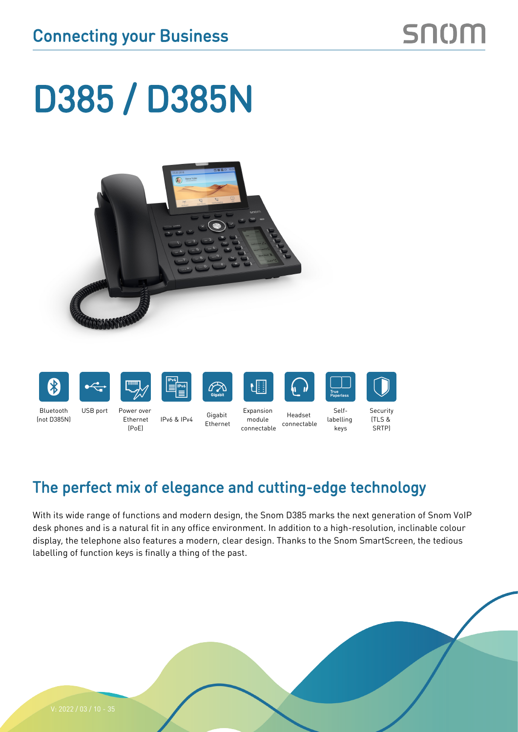# D385 / D385N













Selflabelling keys



Bluetooth (not D385N) USB port Power over Ethernet (PoE)

IPv6 & IPv4 Gigabit

Ethernet Expansion module connectable

Headset connectable

**Security** (TLS & SRTP)

## The perfect mix of elegance and cutting-edge technology

With its wide range of functions and modern design, the Snom D385 marks the next generation of Snom VoIP desk phones and is a natural fit in any office environment. In addition to a high-resolution, inclinable colour display, the telephone also features a modern, clear design. Thanks to the Snom SmartScreen, the tedious labelling of function keys is finally a thing of the past.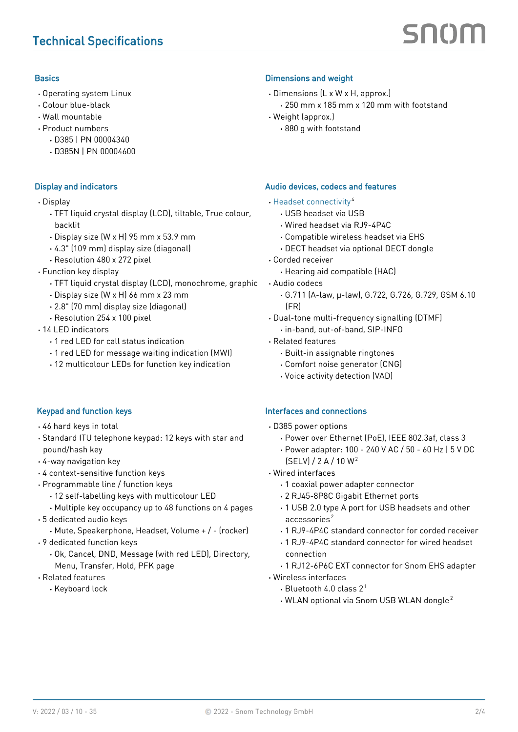#### **Basics**

- · Operating system Linux
- · Colour blue-black
- · Wall mountable
- · Product numbers
	- · D385 | PN 00004340
	- · D385N | PN 00004600

#### Display and indicators

- · Display
	- · TFT liquid crystal display (LCD), tiltable, True colour, backlit
	- · Display size (W x H) 95 mm x 53.9 mm
	- · 4.3" (109 mm) display size (diagonal)
	- · Resolution 480 x 272 pixel
- · Function key display
	- · TFT liquid crystal display (LCD), monochrome, graphic
	- · Display size (W x H) 66 mm x 23 mm
	- · 2.8" (70 mm) display size (diagonal)
	- · Resolution 254 x 100 pixel
- · 14 LED indicators
	- · 1 red LED for call status indication
	- · 1 red LED for message waiting indication (MWI)
	- · 12 multicolour LEDs for function key indication

#### Keypad and function keys

- · 46 hard keys in total
- · Standard ITU telephone keypad: 12 keys with star and pound/hash key
- · 4-way navigation key
- · 4 context-sensitive function keys
- · Programmable line / function keys
	- · 12 self-labelling keys with multicolour LED
	- · Multiple key occupancy up to 48 functions on 4 pages
- · 5 dedicated audio keys
	- · Mute, Speakerphone, Headset, Volume + / (rocker)
- · 9 dedicated function keys
	- · Ok, Cancel, DND, Message (with red LED), Directory, Menu, Transfer, Hold, PFK page
- · Related features
	- · Keyboard lock

#### Dimensions and weight

- · Dimensions (L x W x H, approx.) · 250 mm x 185 mm x 120 mm with footstand
- · Weight (approx.)
	- · 880 g with footstand

#### Audio devices, codecs and features

- · [Headset connectivity](https://service.snom.com/display/wiki/Supported+Headsets) <sup>4</sup>
	- · USB headset via USB
	- · Wired headset via RJ9-4P4C
	- · Compatible wireless headset via EHS
	- · DECT headset via optional DECT dongle
- · Corded receiver
	- · Hearing aid compatible (HAC)
- · Audio codecs
	- · G.711 (A-law, μ-law), G.722, G.726, G.729, GSM 6.10 (FR)
- · Dual-tone multi-frequency signalling (DTMF)
	- · in-band, out-of-band, SIP-INFO
- · Related features
	- · Built-in assignable ringtones
	- · Comfort noise generator (CNG)
	- · Voice activity detection (VAD)

#### Interfaces and connections

- · D385 power options
	- · Power over Ethernet (PoE), IEEE 802.3af, class 3
	- · Power adapter: 100 240 V AC / 50 60 Hz | 5 V DC (SELV) / 2 A / 10 W <sup>2</sup>
- · Wired interfaces
	- · 1 coaxial power adapter connector
	- · 2 RJ45-8P8C Gigabit Ethernet ports
	- · 1 USB 2.0 type A port for USB headsets and other accessories <sup>2</sup>
	- · 1 RJ9-4P4C standard connector for corded receiver
	- · 1 RJ9-4P4C standard connector for wired headset connection
	- · 1 RJ12-6P6C EXT connector for Snom EHS adapter
- · Wireless interfaces
	- $\cdot$  Bluetooth 4.0 class 2<sup>1</sup>
	- · WLAN optional via Snom USB WLAN dongle <sup>2</sup>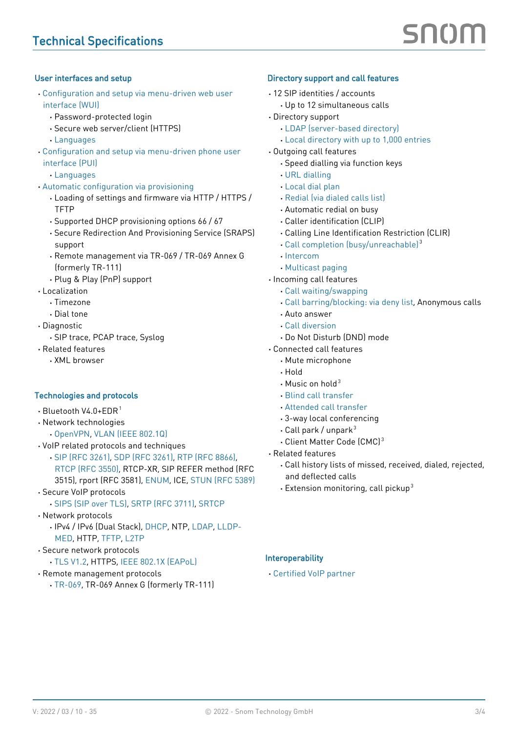#### User interfaces and setup

- · [Configuration and setup via menu-driven web user](https://service.snom.com/display/wiki/WUI+-+Web+User+Interface)  [interface \(WUI\)](https://service.snom.com/display/wiki/WUI+-+Web+User+Interface)
	- · Password-protected login
	- · Secure web server/client (HTTPS)
	- · [Languages](https://service.snom.com/display/wiki/Language+Overview)
- · [Configuration and setup via menu-driven phone user](https://service.snom.com/display/wiki/PUI+-+Phone+User+Interface)  [interface \(PUI\)](https://service.snom.com/display/wiki/PUI+-+Phone+User+Interface)
	- · [Languages](https://service.snom.com/display/wiki/Language+Overview)
- · [Automatic configuration via provisioning](https://service.snom.com/display/wiki/Auto+Provisioning)
	- · Loading of settings and firmware via HTTP / HTTPS / **TFTP**
	- · Supported DHCP provisioning options 66 / 67
	- · Secure Redirection And Provisioning Service (SRAPS) support
	- · Remote management via TR-069 / TR-069 Annex G (formerly TR-111)
	- · Plug & Play (PnP) support
- · Localization
	- · Timezone
	- · Dial tone
- · Diagnostic
	- · SIP trace, PCAP trace, Syslog
- · Related features
	- · XML browser

#### Technologies and protocols

- $\cdot$  Bluetooth V4.0+EDR<sup>1</sup>
- · Network technologies
	- · [OpenVPN](https://service.snom.com/display/wiki/Configuring+VPN+on+Snom+Deskphones), [VLAN \(IEEE 802.1Q\)](https://service.snom.com/display/wiki/VLAN+-+Virtual+Local+Area+Network)
- · VoIP related protocols and techniques
	- · [SIP \(RFC 3261\)](https://service.snom.com/display/wiki/SIP+-+Session+Initiation+Protocol), [SDP \(RFC 3261\),](https://service.snom.com/display/wiki/SDP+-+Session+Description+Protocol) [RTP \(RFC 8866\),](https://service.snom.com/display/wiki/RTP+-+Real-Time+Transport+Protocol) [RTCP \(RFC 3550\)](https://service.snom.com/display/wiki/RTCP+-+Real-Time+Transport+Control+Protocol), RTCP-XR, SIP REFER method (RFC 3515), rport (RFC 3581), [ENUM,](https://service.snom.com/display/wiki/ENUM+-+Telephone+Number+Mapping) ICE, [STUN \(RFC 5389\)](https://service.snom.com/display/wiki/STUN+-+Simple+traversal+of+UDP+over+NAT)
- · Secure VoIP protocols
- · [SIPS \(SIP over TLS\),](https://service.snom.com/display/wiki/SIPS+-+Session+Initiation+Protocol+Secure) [SRTP \(RFC 3711\),](https://service.snom.com/display/wiki/SRTP+-+Secure+Real-Time+Transport+Protocol) [SRTCP](https://service.snom.com/display/wiki/SRTCP+-+Secure+Real-Time+Transport+Protocol)
- · Network protocols
	- · IPv4 / IPv6 (Dual Stack), [DHCP](https://service.snom.com/display/wiki/DHCP+-+Dynamic+Host+Configuration-Protokoll), NTP, [LDAP,](https://service.snom.com/display/wiki/LDAP+-+Lightweight+Directory+Access+Protocol) [LLDP-](https://service.snom.com/display/wiki/LLDP+-+Link+Layer+Discovery+Protocol)[MED](https://service.snom.com/display/wiki/LLDP+-+Link+Layer+Discovery+Protocol), HTTP, [TFTP](https://service.snom.com/display/wiki/TFTP+-+Trivial+File+Transfer+Protocol), [L2TP](https://service.snom.com/display/wiki/Install+and+configure+L2TP+on+Snom+Deskphones)
- · Secure network protocols
	- · [TLS V1.2,](https://service.snom.com/display/wiki/TLS+-+Transport+Layer+Security) HTTPS, [IEEE 802.1X \(EAPoL\)](https://service.snom.com/display/wiki/802.1X)
- · Remote management protocols
	- · [TR-069,](https://service.snom.com/display/wiki/TR-069) TR-069 Annex G (formerly TR-111)

#### Directory support and call features

- · 12 SIP identities / accounts
	- · Up to 12 simultaneous calls
- · Directory support
	- · [LDAP \(server-based directory\)](https://service.snom.com/display/wiki/LDAP+Directory)
	- · [Local directory with up to 1,000 entries](https://service.snom.com/display/wiki/Local+Directory)
- · Outgoing call features
	- · Speed dialling via function keys
	- · [URL dialling](https://service.snom.com/display/wiki/How+can+I+dial+text+or+SIP+URI+on+my+phone)
	- · [Local dial plan](https://service.snom.com/display/wiki/Dial+Plan+-+Regular+Expressions)
	- · [Redial \(via dialed calls list\)](https://service.snom.com/display/wiki/Quick+Redial+-+V10)
	- · Automatic redial on busy
	- · Caller identification (CLIP)
	- · Calling Line Identification Restriction (CLIR)
	- · [Call completion \(busy/unreachable\)](https://service.snom.com/display/wiki/call_completion) <sup>3</sup>
	- · [Intercom](https://service.snom.com/display/wiki/Intercom+-+Paging+feature)
	- · [Multicast paging](https://service.snom.com/display/wiki/Multicast+Audio)
- · Incoming call features
	- · [Call waiting/swapping](https://service.snom.com/display/wiki/call_waiting)
	- · [Call barring/blocking: via deny list](https://service.snom.com/display/wiki/deny_all_feature), Anonymous calls
	- · Auto answer
	- · [Call diversion](https://service.snom.com/display/wiki/Call+Forwarding)
	- · Do Not Disturb (DND) mode
- · Connected call features
	- · Mute microphone
	- · Hold
	- $\cdot$  Music on hold<sup>3</sup>
	- · [Blind call transfer](https://service.snom.com/display/wiki/Call+Transfer)
	- · [Attended call transfer](https://service.snom.com/display/wiki/Call+Transfer)
	- · 3-way local conferencing
	- $\cdot$  Call park / unpark<sup>3</sup>
	- · Client Matter Code (CMC) <sup>3</sup>
- · Related features
	- · Call history lists of missed, received, dialed, rejected, and deflected calls
	- $\cdot$  Extension monitoring, call pickup<sup>3</sup>

#### Interoperability

· [Certified VoIP partner](https://service.snom.com/display/wiki/PBX+Partner)